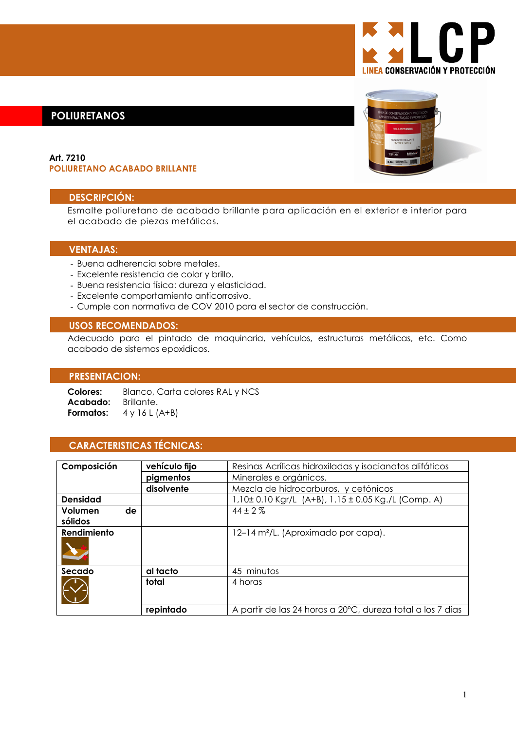# **LINEA CONSERVACIÓN Y PROTECCIÓN**

# **POLIURETANOS**

#### Art. 7210 **POLIURETANO ACABADO BRILLANTE**

### **DESCRIPCIÓN:**

Esmalte poliuretano de acabado brillante para aplicación en el exterior e interior para el acabado de piezas metálicas.

#### **VENTAJAS:**

- Buena adherencia sobre metales.
- Excelente resistencia de color y brillo.
- Buena resistencia física: dureza y elasticidad.
- Excelente comportamiento anticorrosivo.
- Cumple con normativa de COV 2010 para el sector de construcción.

#### **USOS RECOMENDADOS:**

Adecuado para el pintado de maquinaria, vehículos, estructuras metálicas, etc. Como acabado de sistemas epoxidicos.

#### **PRESENTACION:**

Colores: Blanco, Carta colores RAL y NCS Acabado: Brillante. Formatos:  $4$  y 16 L (A+B)

# **CARACTERISTICAS TÉCNICAS:**

| Composición     | vehículo fijo | Resinas Acrílicas hidroxiladas y isocianatos alifáticos    |
|-----------------|---------------|------------------------------------------------------------|
|                 | pigmentos     | Minerales e orgánicos.                                     |
|                 | disolvente    | Mezcla de hidrocarburos, y cetónicos                       |
| <b>Densidad</b> |               | 1,10± 0.10 Kgr/L (A+B), 1.15 ± 0.05 Kg./L (Comp. A)        |
| Volumen<br>de   |               | $44 \pm 2\%$                                               |
| sólidos         |               |                                                            |
| Rendimiento     |               | 12-14 m <sup>2</sup> /L. (Aproximado por capa).            |
|                 |               |                                                            |
|                 |               |                                                            |
| Secado          | al tacto      | 45 minutos                                                 |
|                 | total         | 4 horas                                                    |
|                 |               |                                                            |
|                 | repintado     | A partir de las 24 horas a 20°C, dureza total a los 7 días |

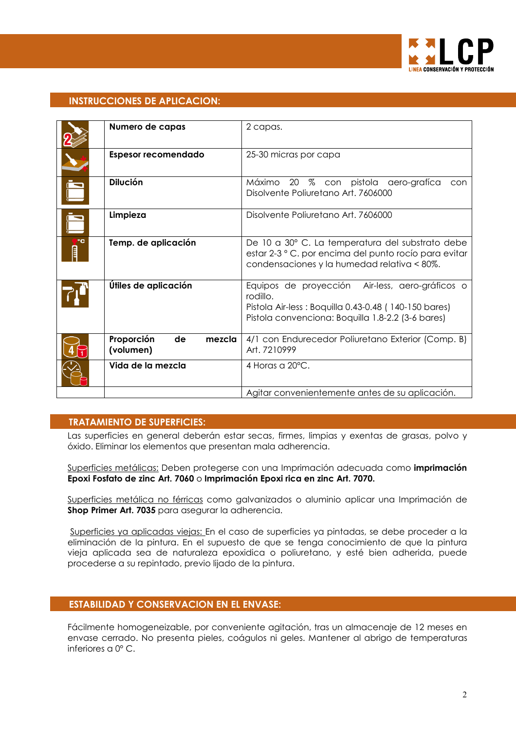

# **INSTRUCCIONES DE APLICACION:**

|    | Numero de capas                         | 2 capas.                                                                                                                                                                 |
|----|-----------------------------------------|--------------------------------------------------------------------------------------------------------------------------------------------------------------------------|
|    | <b>Espesor recomendado</b>              | 25-30 micras por capa                                                                                                                                                    |
|    | <b>Dilución</b>                         | Máximo<br>20 % con pistola aero-grafíca<br>con<br>Disolvente Poliuretano Art. 7606000                                                                                    |
|    | Limpieza                                | Disolvente Poliuretano Art. 7606000                                                                                                                                      |
| PC | Temp. de aplicación                     | De 10 a 30° C. La temperatura del substrato debe<br>estar 2-3 ° C. por encima del punto rocío para evitar<br>condensaciones y la humedad relativa < 80%.                 |
|    | Útiles de aplicación                    | Equipos de proyección Air-less, aero-gráficos o<br>rodillo.<br>Pistola Air-less: Boquilla 0.43-0.48 (140-150 bares)<br>Pistola convenciona: Boquilla 1.8-2.2 (3-6 bares) |
|    | Proporción<br>de<br>mezcla<br>(volumen) | 4/1 con Endurecedor Poliuretano Exterior (Comp. B)<br>Art. 7210999                                                                                                       |
|    | Vida de la mezcla                       | 4 Horas a $20^{\circ}$ C.                                                                                                                                                |
|    |                                         | Agitar convenientemente antes de su aplicación.                                                                                                                          |

# **TRATAMIENTO DE SUPERFICIES:**

Las superficies en general deberán estar secas, firmes, limpias y exentas de grasas, polvo y óxido. Eliminar los elementos que presentan mala adherencia.

Superficies metálicas: Deben protegerse con una Imprimación adecuada como imprimación Epoxi Fosfato de zinc Art. 7060 o Imprimación Epoxi rica en zinc Art. 7070.

Superficies metálica no férricas como galvanizados o aluminio aplicar una Imprimación de Shop Primer Art. 7035 para asegurar la adherencia.

Superficies ya aplicadas viejas: En el caso de superficies ya pintadas, se debe proceder a la eliminación de la pintura. En el supuesto de que se tenga conocimiento de que la pintura vieja aplicada sea de naturaleza epoxidica o poliuretano, y esté bien adherida, puede procederse a su repintado, previo lijado de la pintura.

# **ESTABILIDAD Y CONSERVACION EN EL ENVASE:**

Fácilmente homogeneizable, por conveniente agitación, tras un almacenaje de 12 meses en envase cerrado. No presenta pieles, coágulos ni geles. Mantener al abrigo de temperaturas inferiores  $a \, 0^\circ \, C$ .